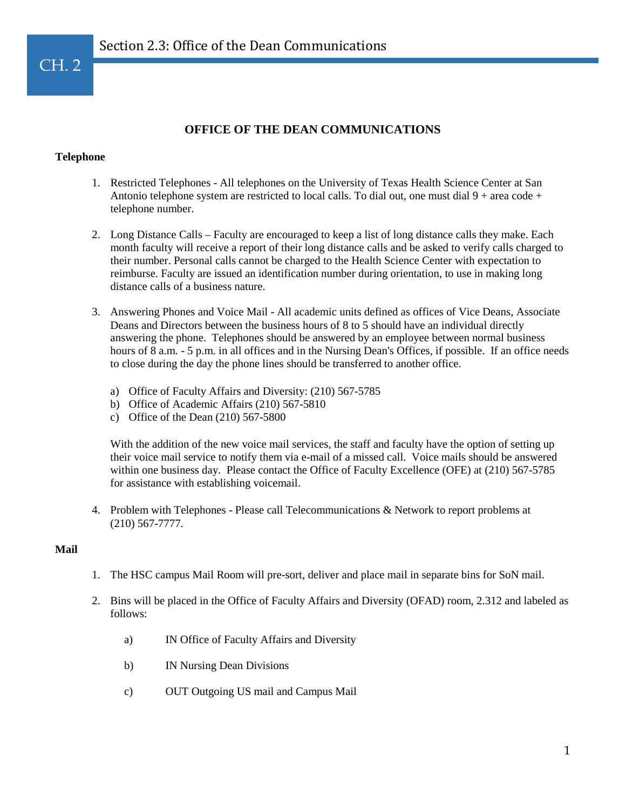# **OFFICE OF THE DEAN COMMUNICATIONS**

### **Telephone**

- 1. Restricted Telephones All telephones on the University of Texas Health Science Center at San Antonio telephone system are restricted to local calls. To dial out, one must dial  $9 + \text{area code} +$ telephone number.
- 2. Long Distance Calls Faculty are encouraged to keep a list of long distance calls they make. Each month faculty will receive a report of their long distance calls and be asked to verify calls charged to their number. Personal calls cannot be charged to the Health Science Center with expectation to reimburse. Faculty are issued an identification number during orientation, to use in making long distance calls of a business nature.
- 3. Answering Phones and Voice Mail All academic units defined as offices of Vice Deans, Associate Deans and Directors between the business hours of 8 to 5 should have an individual directly answering the phone. Telephones should be answered by an employee between normal business hours of 8 a.m. - 5 p.m. in all offices and in the Nursing Dean's Offices, if possible. If an office needs to close during the day the phone lines should be transferred to another office.
	- a) Office of Faculty Affairs and Diversity: (210) 567-5785
	- b) Office of Academic Affairs (210) 567-5810
	- c) Office of the Dean (210) 567-5800

With the addition of the new voice mail services, the staff and faculty have the option of setting up their voice mail service to notify them via e-mail of a missed call. Voice mails should be answered within one business day. Please contact the Office of Faculty Excellence (OFE) at (210) 567-5785 for assistance with establishing voicemail.

4. Problem with Telephones - Please call Telecommunications & Network to report problems at (210) 567-7777.

#### **Mail**

- 1. The HSC campus Mail Room will pre-sort, deliver and place mail in separate bins for SoN mail.
- 2. Bins will be placed in the Office of Faculty Affairs and Diversity (OFAD) room, 2.312 and labeled as follows:
	- a) IN Office of Faculty Affairs and Diversity
	- b) IN Nursing Dean Divisions
	- c) OUT Outgoing US mail and Campus Mail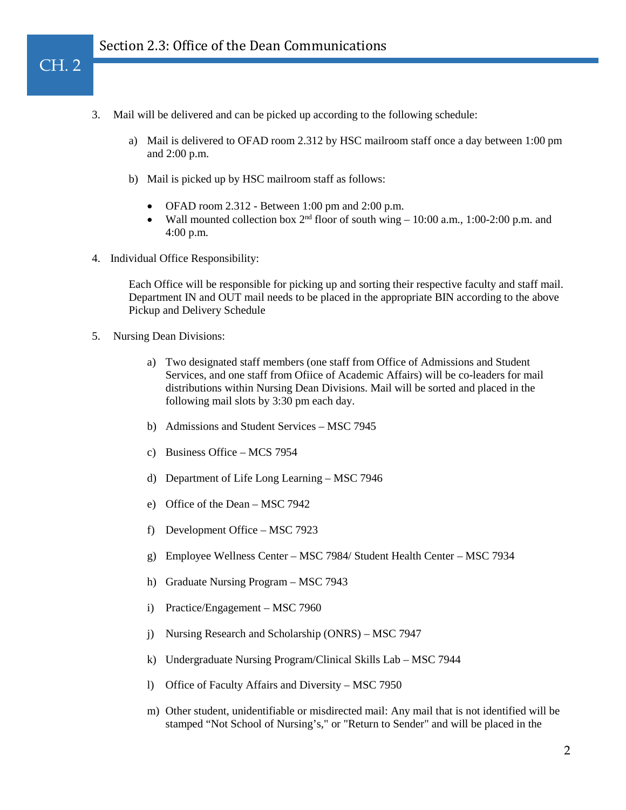- 3. Mail will be delivered and can be picked up according to the following schedule:
	- a) Mail is delivered to OFAD room 2.312 by HSC mailroom staff once a day between 1:00 pm and 2:00 p.m.
	- b) Mail is picked up by HSC mailroom staff as follows:
		- OFAD room  $2.312$  Between 1:00 pm and  $2:00$  p.m.
		- Wall mounted collection box  $2<sup>nd</sup>$  floor of south wing  $-10:00$  a.m., 1:00-2:00 p.m. and 4:00 p.m.
- 4. Individual Office Responsibility:

Each Office will be responsible for picking up and sorting their respective faculty and staff mail. Department IN and OUT mail needs to be placed in the appropriate BIN according to the above Pickup and Delivery Schedule

5. Nursing Dean Divisions:

CH. 2

- a) Two designated staff members (one staff from Office of Admissions and Student Services, and one staff from Ofiice of Academic Affairs) will be co-leaders for mail distributions within Nursing Dean Divisions. Mail will be sorted and placed in the following mail slots by 3:30 pm each day.
- b) Admissions and Student Services MSC 7945
- c) Business Office MCS 7954
- d) Department of Life Long Learning MSC 7946
- e) Office of the Dean MSC 7942
- f) Development Office MSC 7923
- g) Employee Wellness Center MSC 7984/ Student Health Center MSC 7934
- h) Graduate Nursing Program MSC 7943
- i) Practice/Engagement MSC 7960
- j) Nursing Research and Scholarship (ONRS) MSC 7947
- k) Undergraduate Nursing Program/Clinical Skills Lab MSC 7944
- l) Office of Faculty Affairs and Diversity MSC 7950
- m) Other student, unidentifiable or misdirected mail: Any mail that is not identified will be stamped "Not School of Nursing's," or "Return to Sender" and will be placed in the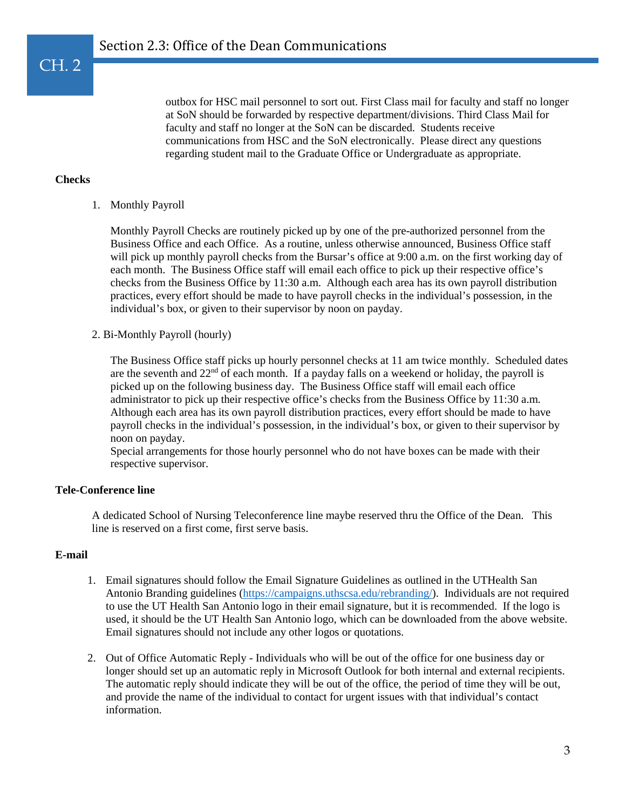outbox for HSC mail personnel to sort out. First Class mail for faculty and staff no longer at SoN should be forwarded by respective department/divisions. Third Class Mail for faculty and staff no longer at the SoN can be discarded. Students receive communications from HSC and the SoN electronically. Please direct any questions regarding student mail to the Graduate Office or Undergraduate as appropriate.

# **Checks**

CH. 2

1. Monthly Payroll

Monthly Payroll Checks are routinely picked up by one of the pre-authorized personnel from the Business Office and each Office. As a routine, unless otherwise announced, Business Office staff will pick up monthly payroll checks from the Bursar's office at 9:00 a.m. on the first working day of each month. The Business Office staff will email each office to pick up their respective office's checks from the Business Office by 11:30 a.m. Although each area has its own payroll distribution practices, every effort should be made to have payroll checks in the individual's possession, in the individual's box, or given to their supervisor by noon on payday.

2. Bi-Monthly Payroll (hourly)

The Business Office staff picks up hourly personnel checks at 11 am twice monthly. Scheduled dates are the seventh and  $22<sup>nd</sup>$  of each month. If a payday falls on a weekend or holiday, the payroll is picked up on the following business day. The Business Office staff will email each office administrator to pick up their respective office's checks from the Business Office by 11:30 a.m. Although each area has its own payroll distribution practices, every effort should be made to have payroll checks in the individual's possession, in the individual's box, or given to their supervisor by noon on payday.

Special arrangements for those hourly personnel who do not have boxes can be made with their respective supervisor.

#### **Tele-Conference line**

A dedicated School of Nursing Teleconference line maybe reserved thru the Office of the Dean. This line is reserved on a first come, first serve basis.

#### **E-mail**

- 1. Email signatures should follow the Email Signature Guidelines as outlined in the UTHealth San Antonio Branding guidelines [\(https://campaigns.uthscsa.edu/rebranding/\)](https://campaigns.uthscsa.edu/rebranding/). Individuals are not required to use the UT Health San Antonio logo in their email signature, but it is recommended. If the logo is used, it should be the UT Health San Antonio logo, which can be downloaded from the above website. Email signatures should not include any other logos or quotations.
- 2. Out of Office Automatic Reply Individuals who will be out of the office for one business day or longer should set up an automatic reply in Microsoft Outlook for both internal and external recipients. The automatic reply should indicate they will be out of the office, the period of time they will be out, and provide the name of the individual to contact for urgent issues with that individual's contact information.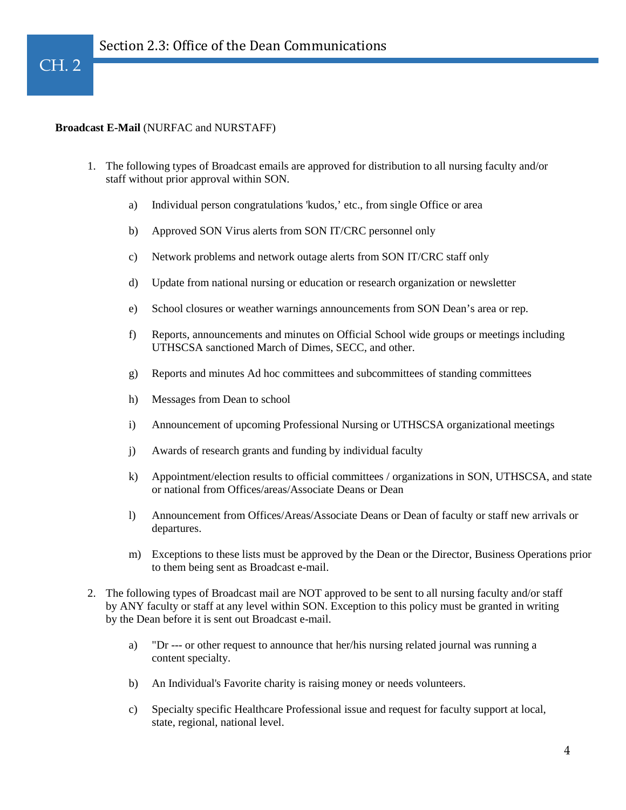# $CH. 2$

#### **Broadcast E-Mail** (NURFAC and NURSTAFF)

- 1. The following types of Broadcast emails are approved for distribution to all nursing faculty and/or staff without prior approval within SON.
	- a) Individual person congratulations 'kudos,' etc., from single Office or area
	- b) Approved SON Virus alerts from SON IT/CRC personnel only
	- c) Network problems and network outage alerts from SON IT/CRC staff only
	- d) Update from national nursing or education or research organization or newsletter
	- e) School closures or weather warnings announcements from SON Dean's area or rep.
	- f) Reports, announcements and minutes on Official School wide groups or meetings including UTHSCSA sanctioned March of Dimes, SECC, and other.
	- g) Reports and minutes Ad hoc committees and subcommittees of standing committees
	- h) Messages from Dean to school
	- i) Announcement of upcoming Professional Nursing or UTHSCSA organizational meetings
	- j) Awards of research grants and funding by individual faculty
	- k) Appointment/election results to official committees / organizations in SON, UTHSCSA, and state or national from Offices/areas/Associate Deans or Dean
	- l) Announcement from Offices/Areas/Associate Deans or Dean of faculty or staff new arrivals or departures.
	- m) Exceptions to these lists must be approved by the Dean or the Director, Business Operations prior to them being sent as Broadcast e-mail.
- 2. The following types of Broadcast mail are NOT approved to be sent to all nursing faculty and/or staff by ANY faculty or staff at any level within SON. Exception to this policy must be granted in writing by the Dean before it is sent out Broadcast e-mail.
	- a) "Dr --- or other request to announce that her/his nursing related journal was running a content specialty.
	- b) An Individual's Favorite charity is raising money or needs volunteers.
	- c) Specialty specific Healthcare Professional issue and request for faculty support at local, state, regional, national level.